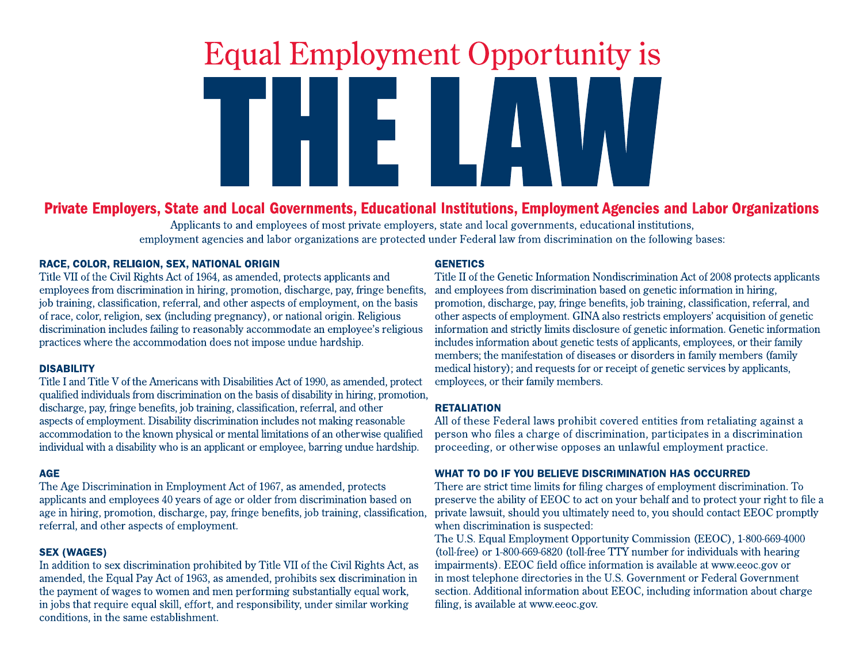# **Equal Employment Opportunity is** Н

# Private Employers, State and Local Governments, Educational Institutions, Employment Agencies and Labor Organizations

Applicants to and employees of most private employers, state and local governments, educational institutions, employment agencies and labor organizations are protected under Federal law from discrimination on the following bases:

#### RACE, COLOR, RELIGION, SEX, NATIONAL ORIGIN

Title VII of the Civil Rights Act of 1964, as amended, protects applicants and employees from discrimination in hiring, promotion, discharge, pay, fringe benefits, job training, classification, referral, and other aspects of employment, on the basis of race, color, religion, sex (including pregnancy), or national origin. Religious discrimination includes failing to reasonably accommodate an employee's religious practices where the accommodation does not impose undue hardship.

#### **DISABILITY**

Title I and Title V of the Americans with Disabilities Act of 1990, as amended, protect qualified individuals from discrimination on the basis of disability in hiring, promotion, discharge, pay, fringe benefits, job training, classification, referral, and other aspects of employment. Disability discrimination includes not making reasonable accommodation to the known physical or mental limitations of an otherwise qualified individual with a disability who is an applicant or employee, barring undue hardship.

#### **AGE**

The Age Discrimination in Employment Act of 1967, as amended, protects applicants and employees 40 years of age or older from discrimination based on age in hiring, promotion, discharge, pay, fringe benefits, job training, classification, referral, and other aspects of employment.

#### **SEX (WAGES)**

In addition to sex discrimination prohibited by Title VII of the Civil Rights Act, as amended, the Equal Pay Act of 1963, as amended, prohibits sex discrimination in the payment of wages to women and men performing substantially equal work, in jobs that require equal skill, effort, and responsibility, under similar working conditions, in the same establishment.

#### **GENETICS**

Title II of the Genetic Information Nondiscrimination Act of 2008 protects applicants and employees from discrimination based on genetic information in hiring, promotion, discharge, pay, fringe benefits, job training, classification, referral, and other aspects of employment. GINA also restricts employers' acquisition of genetic information and strictly limits disclosure of genetic information. Genetic information includes information about genetic tests of applicants, employees, or their family members; the manifestation of diseases or disorders in family members (family medical history); and requests for or receipt of genetic services by applicants, employees, or their family members.

#### **RETALIATION**

All of these Federal laws prohibit covered entities from retaliating against a person who files a charge of discrimination, participates in a discrimination proceeding, or otherwise opposes an unlawful employment practice.

#### WHAT TO DO IF YOU BELIEVE DISCRIMINATION HAS OCCURRED

There are strict time limits for filing charges of employment discrimination. To preserve the ability of EEOC to act on your behalf and to protect your right to file a private lawsuit, should you ultimately need to, you should contact EEOC promptly when discrimination is suspected:

The U.S. Equal Employment Opportunity Commission (EEOC), 1-800-669-4000 (toll-free) or 1-800-669-6820 (toll-free TTY number for individuals with hearing impairments). EEOC field office information is available at www.eeoc.gov or in most telephone directories in the U.S. Government or Federal Government section. Additional information about EEOC, including information about charge filing, is available at www.eeoc.gov.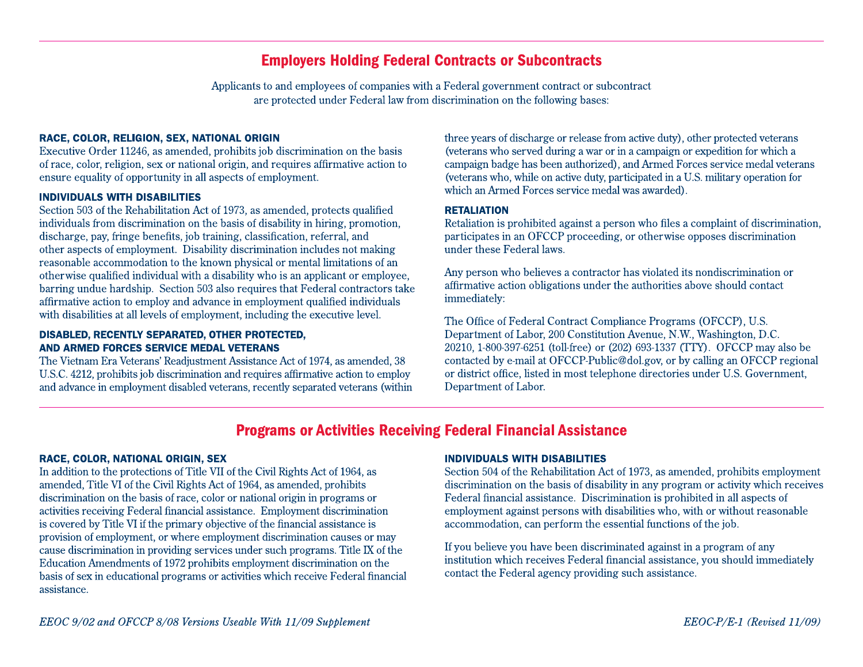# **Employers Holding Federal Contracts or Subcontracts**

Applicants to and employees of companies with a Federal government contract or subcontract are protected under Federal law from discrimination on the following bases:

#### RACE, COLOR, RELIGION, SEX, NATIONAL ORIGIN

Executive Order 11246, as amended, prohibits job discrimination on the basis of race, color, religion, sex or national origin, and requires affirmative action to ensure equality of opportunity in all aspects of employment.

#### **INDIVIDUALS WITH DISABILITIES**

Section 503 of the Rehabilitation Act of 1973, as amended, protects qualified individuals from discrimination on the basis of disability in hiring, promotion. discharge, pay, fringe benefits, job training, classification, referral, and other aspects of employment. Disability discrimination includes not making reasonable accommodation to the known physical or mental limitations of an otherwise qualified individual with a disability who is an applicant or employee, barring undue hardship. Section 503 also requires that Federal contractors take affirmative action to employ and advance in employment qualified individuals with disabilities at all levels of employment, including the executive level.

#### **DISABLED, RECENTLY SEPARATED, OTHER PROTECTED,** AND ARMED FORCES SERVICE MEDAL VETERANS

The Vietnam Era Veterans' Readjustment Assistance Act of 1974, as amended, 38 U.S.C. 4212, prohibits job discrimination and requires affirmative action to employ and advance in employment disabled veterans, recently separated veterans (within

three years of discharge or release from active duty), other protected veterans (veterans who served during a war or in a campaign or expedition for which a campaign badge has been authorized), and Armed Forces service medal veterans (veterans who, while on active duty, participated in a U.S. military operation for which an Armed Forces service medal was awarded).

#### **RETALIATION**

Retaliation is prohibited against a person who files a complaint of discrimination, participates in an OFCCP proceeding, or otherwise opposes discrimination under these Federal laws.

Any person who believes a contractor has violated its nondiscrimination or affirmative action obligations under the authorities above should contact immediately:

The Office of Federal Contract Compliance Programs (OFCCP), U.S. Department of Labor, 200 Constitution Avenue, N.W., Washington, D.C. 20210, 1-800-397-6251 (toll-free) or (202) 693-1337 (TTY). OFCCP may also be contacted by e-mail at OFCCP-Public@dol.gov, or by calling an OFCCP regional or district office, listed in most telephone directories under U.S. Government, Department of Labor.

### **Programs or Activities Receiving Federal Financial Assistance**

#### RACE, COLOR, NATIONAL ORIGIN, SEX

In addition to the protections of Title VII of the Civil Rights Act of 1964, as amended, Title VI of the Civil Rights Act of 1964, as amended, prohibits discrimination on the basis of race, color or national origin in programs or activities receiving Federal financial assistance. Employment discrimination is covered by Title VI if the primary objective of the financial assistance is provision of employment, or where employment discrimination causes or may cause discrimination in providing services under such programs. Title IX of the Education Amendments of 1972 prohibits employment discrimination on the basis of sex in educational programs or activities which receive Federal financial assistance.

#### **INDIVIDUALS WITH DISABILITIES**

Section 504 of the Rehabilitation Act of 1973, as amended, prohibits employment discrimination on the basis of disability in any program or activity which receives Federal financial assistance. Discrimination is prohibited in all aspects of employment against persons with disabilities who, with or without reasonable accommodation, can perform the essential functions of the job.

If you believe you have been discriminated against in a program of any institution which receives Federal financial assistance, you should immediately contact the Federal agency providing such assistance.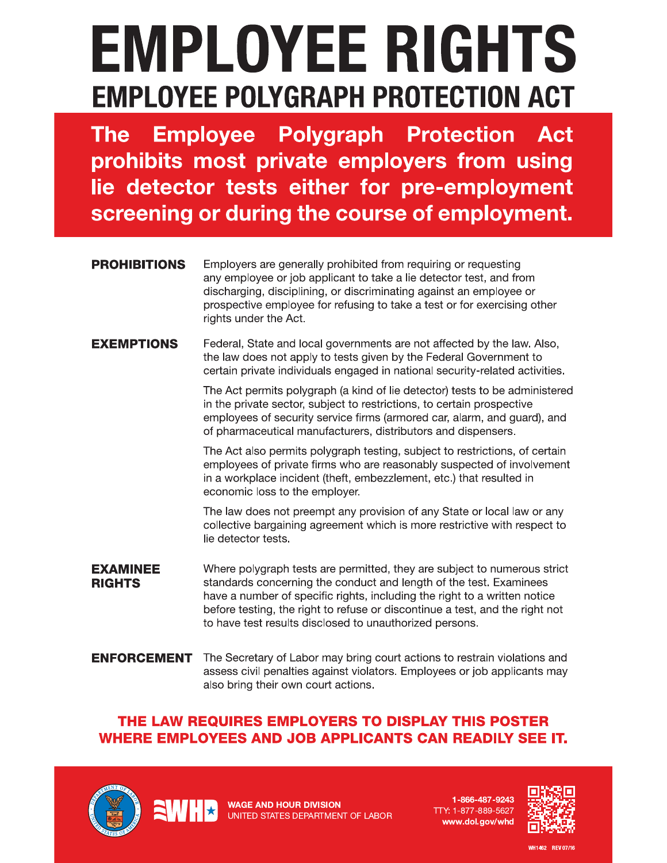# **EMPLOYEE RIGHTS EMPLOYEE POLYGRAPH PROTECTION ACT**

The Employee Polygraph Protection Act prohibits most private employers from using lie detector tests either for pre-employment screening or during the course of employment.

#### **PROHIBITIONS**

Employers are generally prohibited from requiring or requesting any employee or job applicant to take a lie detector test, and from discharging, disciplining, or discriminating against an employee or prospective employee for refusing to take a test or for exercising other rights under the Act.

#### **EXEMPTIONS** Federal, State and local governments are not affected by the law. Also, the law does not apply to tests given by the Federal Government to certain private individuals engaged in national security-related activities.

The Act permits polygraph (a kind of lie detector) tests to be administered in the private sector, subject to restrictions, to certain prospective employees of security service firms (armored car, alarm, and guard), and of pharmaceutical manufacturers, distributors and dispensers.

The Act also permits polygraph testing, subject to restrictions, of certain employees of private firms who are reasonably suspected of involvement in a workplace incident (theft, embezzlement, etc.) that resulted in economic loss to the employer.

The law does not preempt any provision of any State or local law or any collective bargaining agreement which is more restrictive with respect to lie detector tests.

**EXAMINEE** Where polygraph tests are permitted, they are subject to numerous strict standards concerning the conduct and length of the test. Examinees **RIGHTS** have a number of specific rights, including the right to a written notice before testing, the right to refuse or discontinue a test, and the right not to have test results disclosed to unauthorized persons.

**ENFORCEMENT** The Secretary of Labor may bring court actions to restrain violations and assess civil penalties against violators. Employees or job applicants may also bring their own court actions.

### THE LAW REQUIRES EMPLOYERS TO DISPLAY THIS POSTER **WHERE EMPLOYEES AND JOB APPLICANTS CAN READILY SEE IT.**





1-866-487-9243 TTY: 1-877-889-5627 www.dol.gov/whd



WH1462 REV 07/16